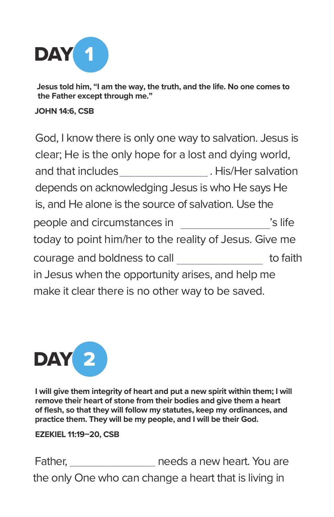

**Jesus told him, "I am the way, the truth, and the life. No one comes to the Father except through me."** 

#### **JOHN 14:6, CSB**

God, I know there is only one way to salvation. Jesus is clear; He is the only hope for a lost and dying world, and that includes \_\_\_\_\_\_\_\_\_\_\_\_\_\_\_\_\_\_\_. His/Her salvation depends on acknowledging Jesus is who He says He is, and He alone is the source of salvation. Use the people and circumstances in Theory is life today to point him/her to the reality of Jesus. Give me courage and boldness to call \_\_\_\_\_\_\_\_\_\_\_\_\_\_\_\_ to faith in Jesus when the opportunity arises, and help me make it clear there is no other way to be saved.



**I will give them integrity of heart and put a new spirit within them; I will remove their heart of stone from their bodies and give them a heart of flesh, so that they will follow my statutes, keep my ordinances, and practice them. They will be my people, and I will be their God.** 

**EZEKIEL 11:19–20, CSB**

Father, \_\_\_\_\_\_\_\_\_\_\_\_\_\_\_\_\_ needs a new heart. You are the only One who can change a heart that is living in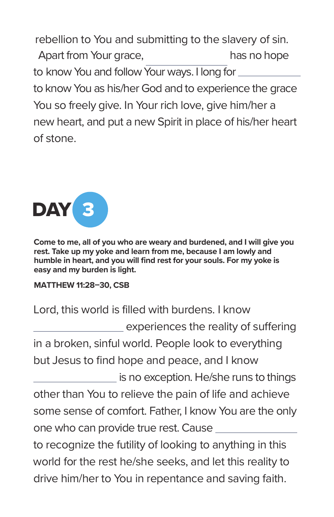Apart from Your grace, has no hope to know You and follow Your ways. I long for to know You as his/her God and to experience the grace You so freely give. In Your rich love, give him/her a new heart, and put a new Spirit in place of his/her heart of stone. rebellion to You and submitting to the slavery of sin.



**Come to me, all of you who are weary and burdened, and I will give you rest. Take up my yoke and learn from me, because I am lowly and humble in heart, and you will find rest for your souls. For my yoke is easy and my burden is light.**

# **MATTHEW 11:28–30, CSB**

Lord, this world is filled with burdens. I know experiences the reality of suffering in a broken, sinful world. People look to everything but Jesus to find hope and peace, and I know is no exception. He/she runs to things other than You to relieve the pain of life and achieve some sense of comfort. Father, I know You are the only one who can provide true rest. Cause to recognize the futility of looking to anything in this world for the rest he/she seeks, and let this reality to drive him/her to You in repentance and saving faith.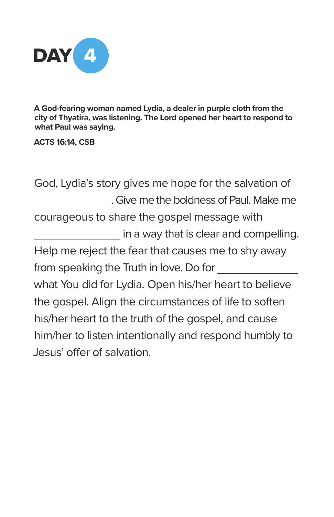

**A God-fearing woman named Lydia, a dealer in purple cloth from the city of Thyatira, was listening. The Lord opened her heart to respond to what Paul was saying.** 

**ACTS 16:14, CSB**

God, Lydia's story gives me hope for the salvation of . Give me the boldness of Paul. Make me courageous to share the gospel message with in a way that is clear and compelling. Help me reject the fear that causes me to shy away from speaking the Truth in love. Do for what You did for Lydia. Open his/her heart to believe the gospel. Align the circumstances of life to soften his/her heart to the truth of the gospel, and cause him/her to listen intentionally and respond humbly to Jesus' offer of salvation.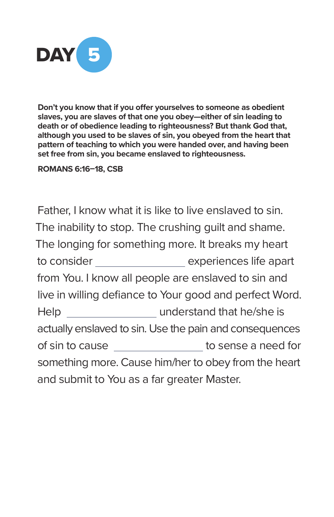

**Don't you know that if you offer yourselves to someone as obedient slaves, you are slaves of that one you obey—either of sin leading to death or of obedience leading to righteousness? But thank God that, although you used to be slaves of sin, you obeyed from the heart that pattern of teaching to which you were handed over, and having been set free from sin, you became enslaved to righteousness.** 

**ROMANS 6:16–18, CSB**

Father, I know what it is like to live enslaved to sin. The inability to stop. The crushing guilt and shame. The longing for something more. It breaks my heart to consider \_\_\_\_\_\_\_\_\_\_\_\_\_\_\_\_ experiences life apart from You. I know all people are enslaved to sin and live in willing defiance to Your good and perfect Word. Help understand that he/she is actually enslaved to sin. Use the pain and consequences of sin to cause \_\_\_\_\_\_\_\_\_\_\_\_\_\_\_\_\_ to sense a need for something more. Cause him/her to obey from the heart and submit to You as a far greater Master.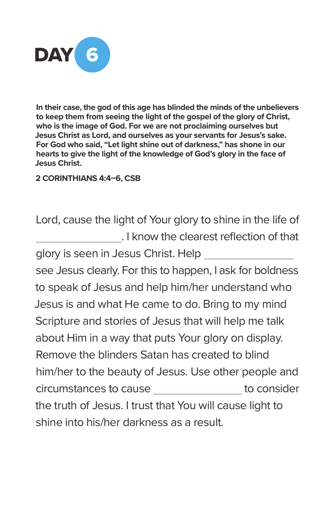

**In their case, the god of this age has blinded the minds of the unbelievers to keep them from seeing the light of the gospel of the glory of Christ, who is the image of God. For we are not proclaiming ourselves but Jesus Christ as Lord, and ourselves as your servants for Jesus's sake. For God who said, "Let light shine out of darkness," has shone in our hearts to give the light of the knowledge of God's glory in the face of Jesus Christ.** 

## **2 CORINTHIANS 4:4–6, CSB**

Lord, cause the light of Your glory to shine in the life of . I know the clearest reflection of that

glory is seen in Jesus Christ. Help see Jesus clearly. For this to happen, I ask for boldness to speak of Jesus and help him/her understand who Jesus is and what He came to do. Bring to my mind Scripture and stories of Jesus that will help me talk about Him in a way that puts Your glory on display. Remove the blinders Satan has created to blind him/her to the beauty of Jesus. Use other people and circumstances to cause to to consider the truth of Jesus. I trust that You will cause light to shine into his/her darkness as a result.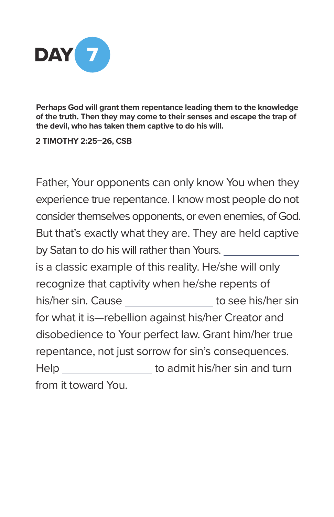

**Perhaps God will grant them repentance leading them to the knowledge of the truth. Then they may come to their senses and escape the trap of the devil, who has taken them captive to do his will.** 

**2 TIMOTHY 2:25–26, CSB**

Father, Your opponents can only know You when they experience true repentance. I know most people do not consider themselves opponents, or even enemies, of God. But that's exactly what they are. They are held captive by Satan to do his will rather than Yours. is a classic example of this reality. He/she will only recognize that captivity when he/she repents of his/her sin. Cause \_\_\_\_\_\_\_\_\_\_\_\_\_\_\_\_ to see his/her sin for what it is—rebellion against his/her Creator and disobedience to Your perfect law. Grant him/her true repentance, not just sorrow for sin's consequences. Help to admit his/her sin and turn from it toward You.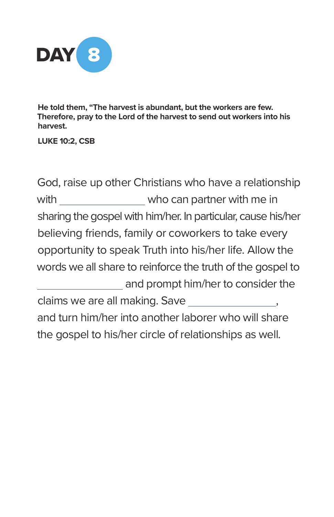

**He told them, "The harvest is abundant, but the workers are few. Therefore, pray to the Lord of the harvest to send out workers into his harvest.** 

**LUKE 10:2, CSB**

God, raise up other Christians who have a relationship with \_\_\_\_\_\_\_\_\_\_\_\_\_\_\_ who can partner with me in sharing the gospel with him/her. In particular, cause his/her believing friends, family or coworkers to take every opportunity to speak Truth into his/her life. Allow the words we all share to reinforce the truth of the gospel to and prompt him/her to consider the claims we are all making. Save  $\qquad \qquad ,$ and turn him/her into another laborer who will share the gospel to his/her circle of relationships as well.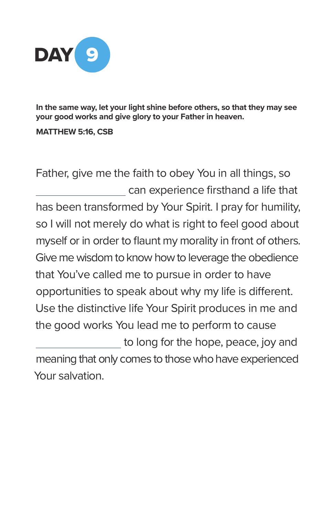

**In the same way, let your light shine before others, so that they may see your good works and give glory to your Father in heaven.** 

**MATTHEW 5:16, CSB**

Father, give me the faith to obey You in all things, so can experience firsthand a life that has been transformed by Your Spirit. I pray for humility, so I will not merely do what is right to feel good about myself or in order to flaunt my morality in front of others. Give me wisdom to know how to leverage the obedience that You've called me to pursue in order to have opportunities to speak about why my life is different. Use the distinctive life Your Spirit produces in me and the good works You lead me to perform to cause to long for the hope, peace, joy and meaning that only comes to those who have experienced Your salvation.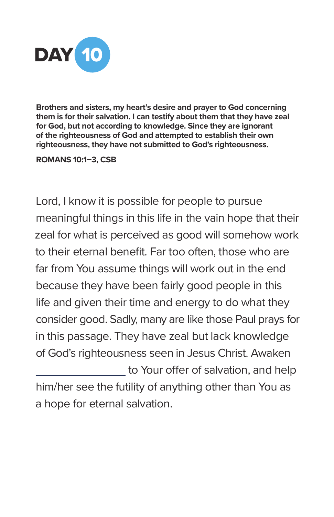

**Brothers and sisters, my heart's desire and prayer to God concerning them is for their salvation. I can testify about them that they have zeal for God, but not according to knowledge. Since they are ignorant of the righteousness of God and attempted to establish their own righteousness, they have not submitted to God's righteousness.** 

#### **ROMANS 10:1–3, CSB**

Lord, I know it is possible for people to pursue meaningful things in this life in the vain hope that their zeal for what is perceived as good will somehow work to their eternal benefit. Far too often, those who are far from You assume things will work out in the end because they have been fairly good people in this life and given their time and energy to do what they consider good. Sadly, many are like those Paul prays for in this passage. They have zeal but lack knowledge of God's righteousness seen in Jesus Christ. Awaken to Your offer of salvation, and help him/her see the futility of anything other than You as a hope for eternal salvation.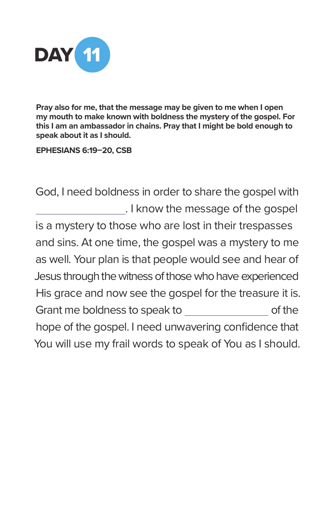

**Pray also for me, that the message may be given to me when I open my mouth to make known with boldness the mystery of the gospel. For this I am an ambassador in chains. Pray that I might be bold enough to speak about it as I should.** 

**EPHESIANS 6:19–20, CSB**

God, I need boldness in order to share the gospel with . I know the message of the gospel is a mystery to those who are lost in their trespasses and sins. At one time, the gospel was a mystery to me as well. Your plan is that people would see and hear of Jesus through the witness of those who have experienced His grace and now see the gospel for the treasure it is. Grant me boldness to speak to of the hope of the gospel. I need unwavering confidence that You will use my frail words to speak of You as I should.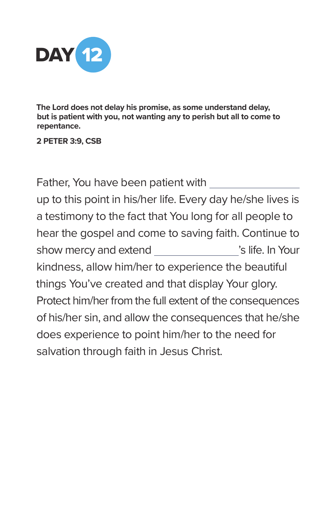

**The Lord does not delay his promise, as some understand delay, but is patient with you, not wanting any to perish but all to come to repentance.** 

**2 PETER 3:9, CSB**

Father, You have been patient with up to this point in his/her life. Every day he/she lives is a testimony to the fact that You long for all people to hear the gospel and come to saving faith. Continue to show mercy and extend  $\blacksquare$  's life. In Your kindness, allow him/her to experience the beautiful things You've created and that display Your glory. Protect him/her from the full extent of the consequences of his/her sin, and allow the consequences that he/she does experience to point him/her to the need for salvation through faith in Jesus Christ.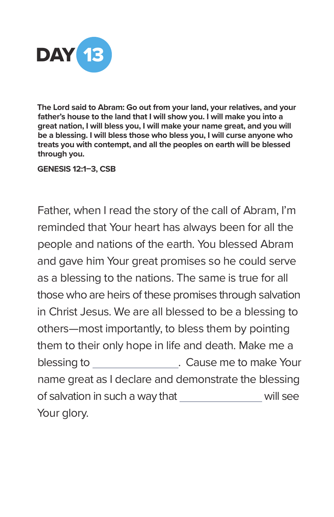

**The Lord said to Abram: Go out from your land, your relatives, and your father's house to the land that I will show you. I will make you into a great nation, I will bless you, I will make your name great, and you will be a blessing. I will bless those who bless you, I will curse anyone who treats you with contempt, and all the peoples on earth will be blessed through you.** 

**GENESIS 12:1–3, CSB**

Father, when I read the story of the call of Abram, I'm reminded that Your heart has always been for all the people and nations of the earth. You blessed Abram and gave him Your great promises so he could serve as a blessing to the nations. The same is true for all those who are heirs of these promises through salvation in Christ Jesus. We are all blessed to be a blessing to others—most importantly, to bless them by pointing them to their only hope in life and death. Make me a blessing to **blessing to**  $\blacksquare$  . Cause me to make Your name great as I declare and demonstrate the blessing of salvation in such a way that will see Your glory.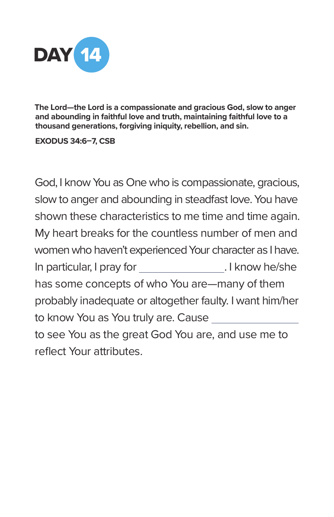

**The Lord—the Lord is a compassionate and gracious God, slow to anger and abounding in faithful love and truth, maintaining faithful love to a thousand generations, forgiving iniquity, rebellion, and sin.** 

**EXODUS 34:6–7, CSB**

God, I know You as One who is compassionate, gracious, slow to anger and abounding in steadfast love. You have shown these characteristics to me time and time again. My heart breaks for the countless number of men and women who haven't experienced Your character as I have. In particular, I pray for \_\_\_\_\_\_\_\_\_\_\_\_\_\_\_\_\_\_\_\_\_\_\_\_. I know he/she has some concepts of who You are—many of them probably inadequate or altogether faulty. I want him/her to know You as You truly are. Cause to see You as the great God You are, and use me to reflect Your attributes.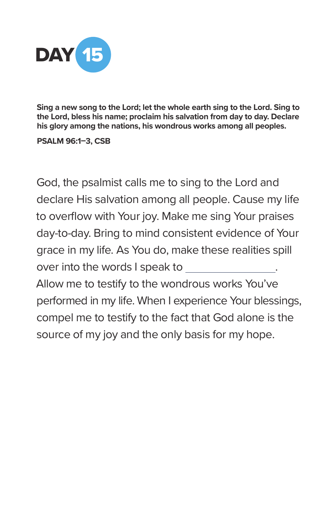

**Sing a new song to the Lord; let the whole earth sing to the Lord. Sing to the Lord, bless his name; proclaim his salvation from day to day. Declare his glory among the nations, his wondrous works among all peoples.** 

**PSALM 96:1–3, CSB** 

God, the psalmist calls me to sing to the Lord and declare His salvation among all people. Cause my life to overflow with Your joy. Make me sing Your praises day-to-day. Bring to mind consistent evidence of Your grace in my life. As You do, make these realities spill over into the words I speak to Allow me to testify to the wondrous works You've performed in my life. When I experience Your blessings, compel me to testify to the fact that God alone is the source of my joy and the only basis for my hope.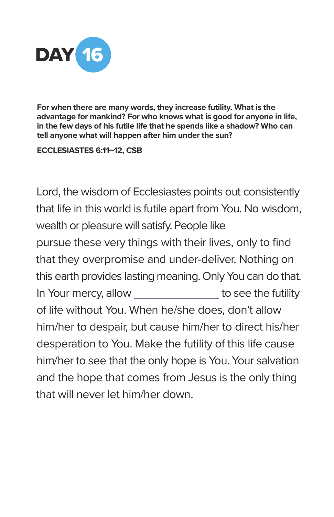

**For when there are many words, they increase futility. What is the advantage for mankind? For who knows what is good for anyone in life, in the few days of his futile life that he spends like a shadow? Who can tell anyone what will happen after him under the sun?**

**ECCLESIASTES 6:11–12, CSB**

Lord, the wisdom of Ecclesiastes points out consistently that life in this world is futile apart from You. No wisdom, wealth or pleasure will satisfy. People like

pursue these very things with their lives, only to find that they overpromise and under-deliver. Nothing on this earth provides lasting meaning. Only You can do that. In Your mercy, allow to see the futility of life without You. When he/she does, don't allow him/her to despair, but cause him/her to direct his/her desperation to You. Make the futility of this life cause him/her to see that the only hope is You. Your salvation and the hope that comes from Jesus is the only thing that will never let him/her down.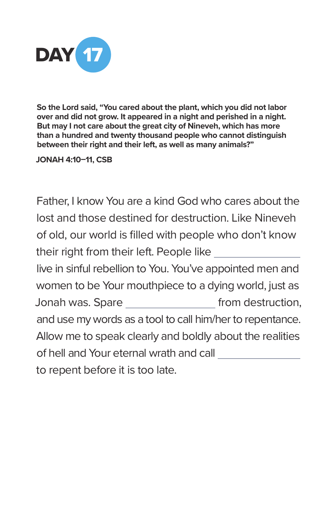

**So the Lord said, "You cared about the plant, which you did not labor over and did not grow. It appeared in a night and perished in a night. But may I not care about the great city of Nineveh, which has more than a hundred and twenty thousand people who cannot distinguish between their right and their left, as well as many animals?"** 

**JONAH 4:10–11, CSB**

Father, I know You are a kind God who cares about the lost and those destined for destruction. Like Nineveh of old, our world is filled with people who don't know their right from their left. People like live in sinful rebellion to You. You've appointed men and women to be Your mouthpiece to a dying world, just as Jonah was. Spare \_\_\_\_\_\_\_\_\_\_\_\_\_\_\_\_\_\_ from destruction, and use my words as a tool to call him/her to repentance. Allow me to speak clearly and boldly about the realities of hell and Your eternal wrath and call to repent before it is too late.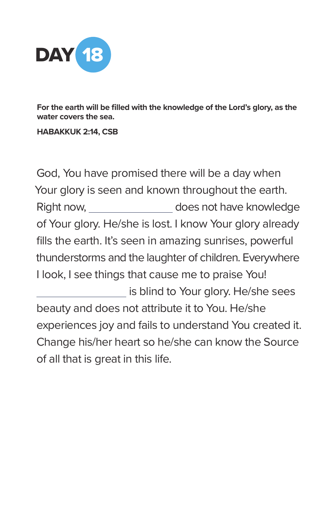

**For the earth will be filled with the knowledge of the Lord's glory, as the water covers the sea.** 

## **HABAKKUK 2:14, CSB**

God, You have promised there will be a day when Your glory is seen and known throughout the earth. Right now, \_\_\_\_\_\_\_\_\_\_\_\_\_\_\_\_\_ does not have knowledge of Your glory. He/she is lost. I know Your glory already fills the earth. It's seen in amazing sunrises, powerful thunderstorms and the laughter of children. Everywhere I look, I see things that cause me to praise You! is blind to Your glory. He/she sees beauty and does not attribute it to You. He/she experiences joy and fails to understand You created it. Change his/her heart so he/she can know the Source of all that is great in this life.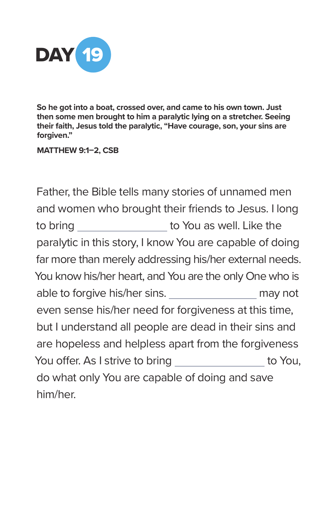

**So he got into a boat, crossed over, and came to his own town. Just then some men brought to him a paralytic lying on a stretcher. Seeing their faith, Jesus told the paralytic, "Have courage, son, your sins are forgiven."** 

## **MATTHEW 9:1–2, CSB**

Father, the Bible tells many stories of unnamed men and women who brought their friends to Jesus. I long to bring \_\_\_\_\_\_\_\_\_\_\_\_\_\_\_\_\_\_ to You as well. Like the paralytic in this story, I know You are capable of doing far more than merely addressing his/her external needs. You know his/her heart, and You are the only One who is able to forgive his/her sins. The may not even sense his/her need for forgiveness at this time, but I understand all people are dead in their sins and are hopeless and helpless apart from the forgiveness You offer. As I strive to bring to You, do what only You are capable of doing and save him/her.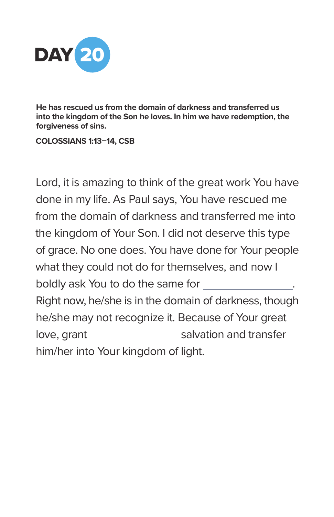

**He has rescued us from the domain of darkness and transferred us into the kingdom of the Son he loves. In him we have redemption, the forgiveness of sins.** 

**COLOSSIANS 1:13–14, CSB**

Lord, it is amazing to think of the great work You have done in my life. As Paul says, You have rescued me from the domain of darkness and transferred me into the kingdom of Your Son. I did not deserve this type of grace. No one does. You have done for Your people what they could not do for themselves, and now I boldly ask You to do the same for Right now, he/she is in the domain of darkness, though he/she may not recognize it. Because of Your great love, grant salvation and transfer him/her into Your kingdom of light.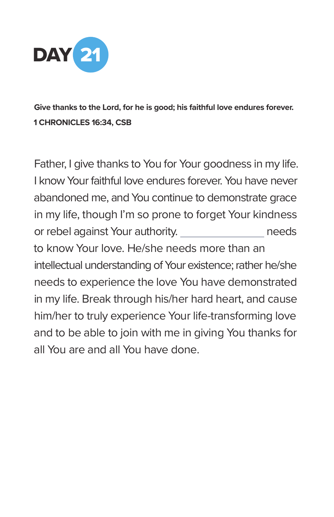

**Give thanks to the Lord, for he is good; his faithful love endures forever. 1 CHRONICLES 16:34, CSB**

Father, I give thanks to You for Your goodness in my life. I know Your faithful love endures forever. You have never abandoned me, and You continue to demonstrate grace in my life, though I'm so prone to forget Your kindness or rebel against Your authority. The meeds to know Your love. He/she needs more than an intellectual understanding of Your existence; rather he/she needs to experience the love You have demonstrated in my life. Break through his/her hard heart, and cause him/her to truly experience Your life-transforming love and to be able to join with me in giving You thanks for all You are and all You have done.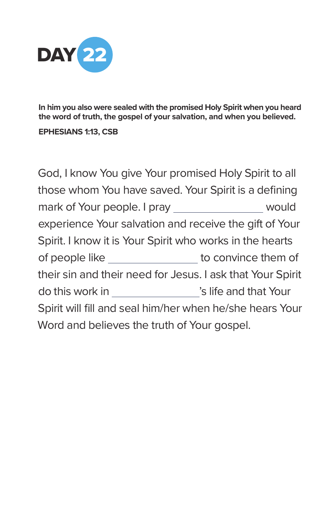

**In him you also were sealed with the promised Holy Spirit when you heard the word of truth, the gospel of your salvation, and when you believed.** 

**EPHESIANS 1:13, CSB**

God, I know You give Your promised Holy Spirit to all those whom You have saved. Your Spirit is a defining mark of Your people. I pray would experience Your salvation and receive the gift of Your Spirit. I know it is Your Spirit who works in the hearts of people like \_\_\_\_\_\_\_\_\_\_\_\_\_\_\_\_\_ to convince them of their sin and their need for Jesus. I ask that Your Spirit do this work in  $\hspace{1.6cm}$ 's life and that Your Spirit will fill and seal him/her when he/she hears Your Word and believes the truth of Your gospel.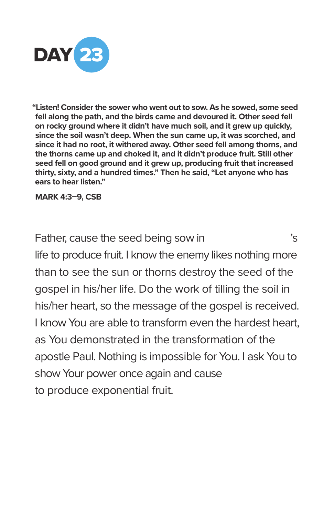

**"Listen! Consider the sower who went out to sow. As he sowed, some seed fell along the path, and the birds came and devoured it. Other seed fell on rocky ground where it didn't have much soil, and it grew up quickly, since the soil wasn't deep. When the sun came up, it was scorched, and since it had no root, it withered away. Other seed fell among thorns, and the thorns came up and choked it, and it didn't produce fruit. Still other seed fell on good ground and it grew up, producing fruit that increased thirty, sixty, and a hundred times." Then he said, "Let anyone who has ears to hear listen."** 

**MARK 4:3–9, CSB**

Father, cause the seed being sow in  $\sim$  's life to produce fruit. I know the enemy likes nothing more than to see the sun or thorns destroy the seed of the gospel in his/her life. Do the work of tilling the soil in his/her heart, so the message of the gospel is received. I know You are able to transform even the hardest heart, as You demonstrated in the transformation of the apostle Paul. Nothing is impossible for You. I ask You to show Your power once again and cause to produce exponential fruit.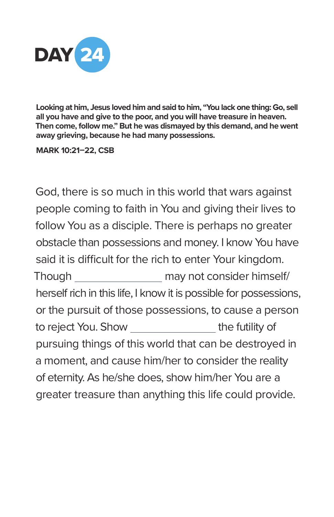

**Looking at him, Jesus loved him and said to him, "You lack one thing: Go, sell all you have and give to the poor, and you will have treasure in heaven. Then come, follow me." But he was dismayed by this demand, and he went away grieving, because he had many possessions.** 

#### **MARK 10:21–22, CSB**

God, there is so much in this world that wars against people coming to faith in You and giving their lives to follow You as a disciple. There is perhaps no greater obstacle than possessions and money. I know You have said it is difficult for the rich to enter Your kingdom. Though may not consider himself/ herself rich in this life, I know it is possible for possessions, or the pursuit of those possessions, to cause a person to reject You. Show the futility of pursuing things of this world that can be destroyed in a moment, and cause him/her to consider the reality of eternity. As he/she does, show him/her You are a greater treasure than anything this life could provide.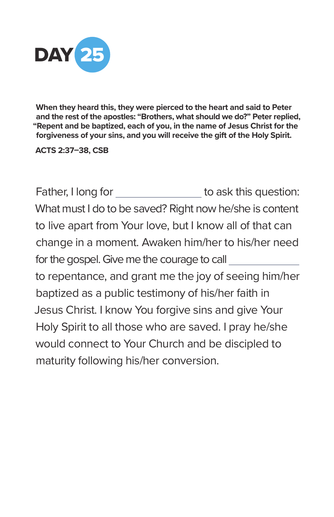

**When they heard this, they were pierced to the heart and said to Peter and the rest of the apostles: "Brothers, what should we do?" Peter replied, "Repent and be baptized, each of you, in the name of Jesus Christ for the forgiveness of your sins, and you will receive the gift of the Holy Spirit.** 

**ACTS 2:37–38, CSB**

Father, I long for \_\_\_\_\_\_\_\_\_\_\_\_\_\_\_\_\_\_ to ask this question: What must I do to be saved? Right now he/she is content to live apart from Your love, but I know all of that can change in a moment. Awaken him/her to his/her need for the gospel. Give me the courage to call to repentance, and grant me the joy of seeing him/her baptized as a public testimony of his/her faith in Jesus Christ. I know You forgive sins and give Your Holy Spirit to all those who are saved. I pray he/she would connect to Your Church and be discipled to maturity following his/her conversion.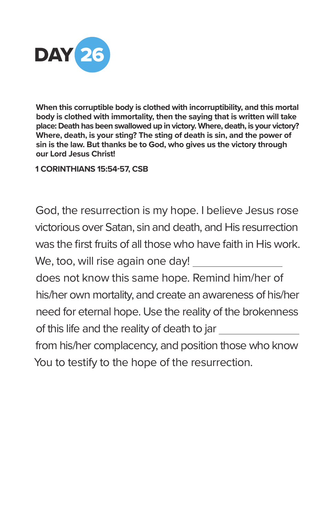

**When this corruptible body is clothed with incorruptibility, and this mortal body is clothed with immortality, then the saying that is written will take place: Death has been swallowed up in victory. Where, death, is your victory? Where, death, is your sting? The sting of death is sin, and the power of sin is the law. But thanks be to God, who gives us the victory through our Lord Jesus Christ!** 

**1 CORINTHIANS 15:54-57, CSB**

God, the resurrection is my hope. I believe Jesus rose victorious over Satan, sin and death, and His resurrection was the first fruits of all those who have faith in His work. We, too, will rise again one day! does not know this same hope. Remind him/her of his/her own mortality, and create an awareness of his/her need for eternal hope. Use the reality of the brokenness of this life and the reality of death to jar from his/her complacency, and position those who know You to testify to the hope of the resurrection.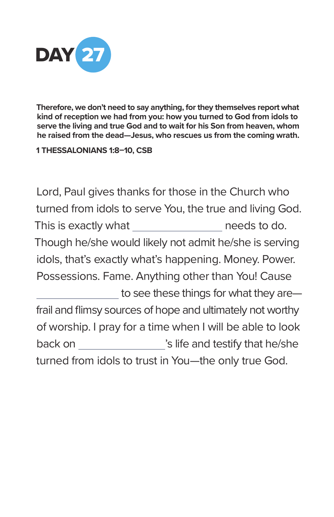

**Therefore, we don't need to say anything, for they themselves report what kind of reception we had from you: how you turned to God from idols to serve the living and true God and to wait for his Son from heaven, whom he raised from the dead—Jesus, who rescues us from the coming wrath.** 

**1 THESSALONIANS 1:8–10, CSB**

Lord, Paul gives thanks for those in the Church who turned from idols to serve You, the true and living God. This is exactly what needs to do. Though he/she would likely not admit he/she is serving idols, that's exactly what's happening. Money. Power. Possessions. Fame. Anything other than You! Cause to see these things for what they are frail and flimsy sources of hope and ultimately not worthy of worship. I pray for a time when I will be able to look back on \_\_\_\_\_\_\_\_\_\_\_\_\_\_\_\_\_\_'s life and testify that he/she turned from idols to trust in You—the only true God.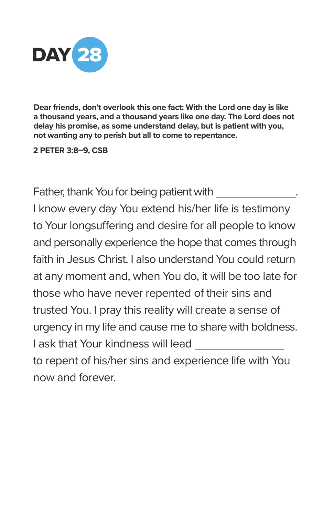

**Dear friends, don't overlook this one fact: With the Lord one day is like a thousand years, and a thousand years like one day. The Lord does not delay his promise, as some understand delay, but is patient with you, not wanting any to perish but all to come to repentance.** 

**2 PETER 3:8–9, CSB**

Father, thank You for being patient with . I know every day You extend his/her life is testimony to Your longsuffering and desire for all people to know and personally experience the hope that comes through faith in Jesus Christ. I also understand You could return at any moment and, when You do, it will be too late for those who have never repented of their sins and trusted You. I pray this reality will create a sense of urgency in my life and cause me to share with boldness. I ask that Your kindness will lead to repent of his/her sins and experience life with You now and forever.